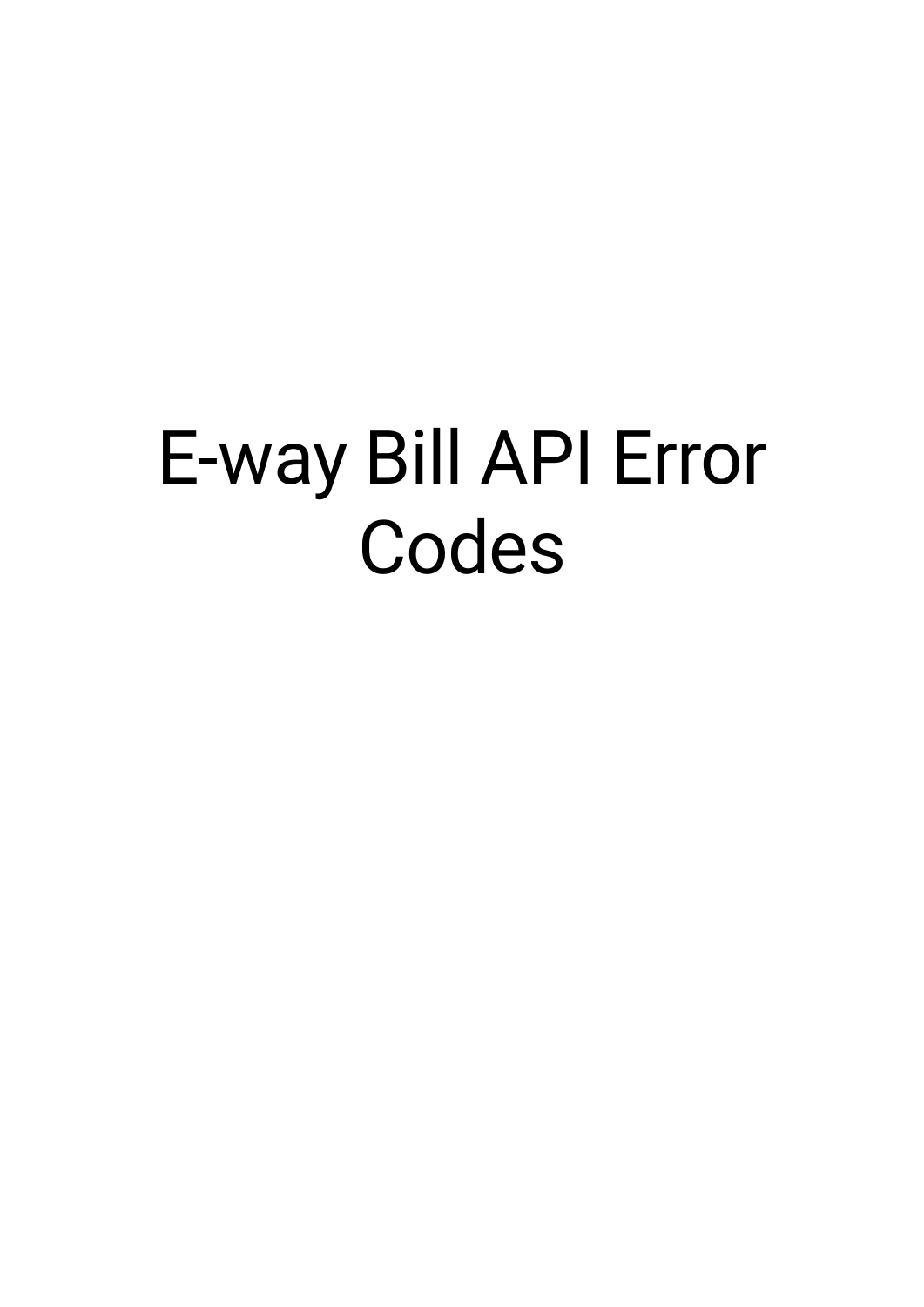## E-way Bill API Error Codes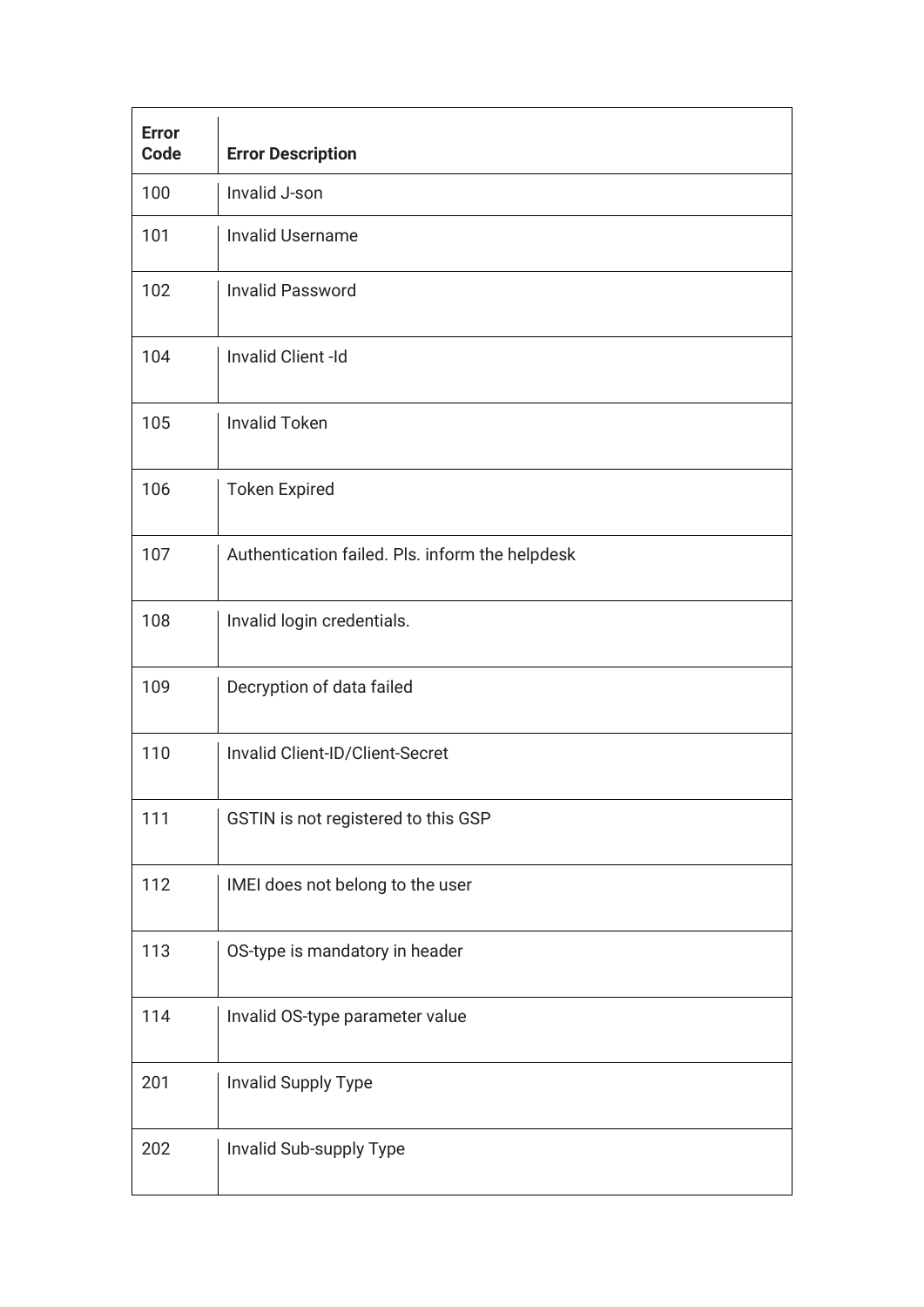| <b>Error</b><br><b>Code</b> | <b>Error Description</b>                        |
|-----------------------------|-------------------------------------------------|
| 100                         | Invalid J-son                                   |
| 101                         | <b>Invalid Username</b>                         |
| 102                         | <b>Invalid Password</b>                         |
| 104                         | Invalid Client -Id                              |
| 105                         | <b>Invalid Token</b>                            |
| 106                         | <b>Token Expired</b>                            |
| 107                         | Authentication failed. Pls. inform the helpdesk |
| 108                         | Invalid login credentials.                      |
| 109                         | Decryption of data failed                       |
| 110                         | Invalid Client-ID/Client-Secret                 |
| 111                         | GSTIN is not registered to this GSP             |
| 112                         | IMEI does not belong to the user                |
| 113                         | OS-type is mandatory in header                  |
| 114                         | Invalid OS-type parameter value                 |
| 201                         | Invalid Supply Type                             |
| 202                         | Invalid Sub-supply Type                         |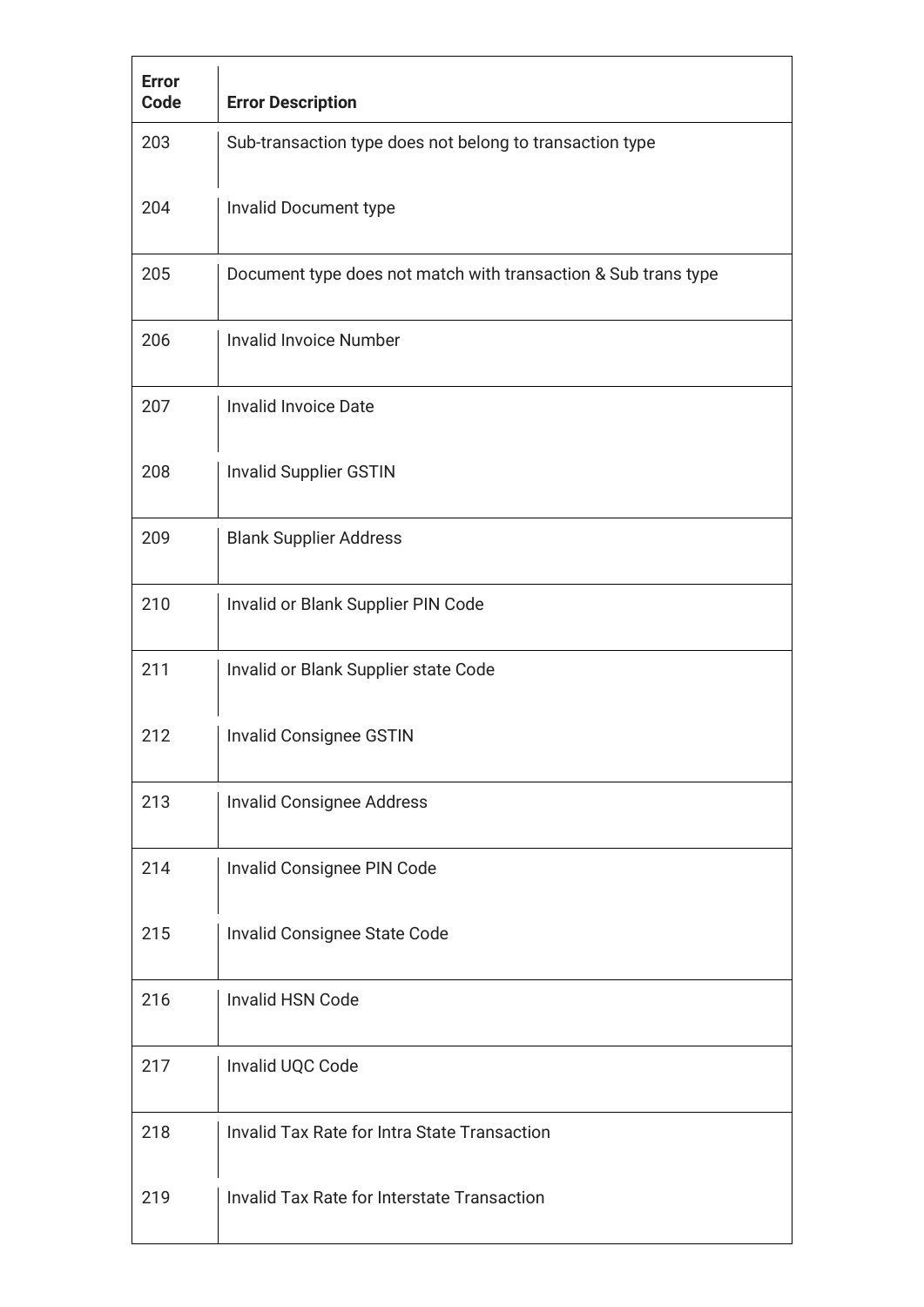| <b>Error</b><br><b>Code</b> | <b>Error Description</b>                                       |
|-----------------------------|----------------------------------------------------------------|
| 203                         | Sub-transaction type does not belong to transaction type       |
| 204                         | Invalid Document type                                          |
| 205                         | Document type does not match with transaction & Sub trans type |
| 206                         | <b>Invalid Invoice Number</b>                                  |
| 207                         | <b>Invalid Invoice Date</b>                                    |
| 208                         | <b>Invalid Supplier GSTIN</b>                                  |
| 209                         | <b>Blank Supplier Address</b>                                  |
| 210                         | Invalid or Blank Supplier PIN Code                             |
| 211                         | Invalid or Blank Supplier state Code                           |
| 212                         | <b>Invalid Consignee GSTIN</b>                                 |
| 213                         | <b>Invalid Consignee Address</b>                               |
| 214                         | Invalid Consignee PIN Code                                     |
| 215                         | Invalid Consignee State Code                                   |
| 216                         | <b>Invalid HSN Code</b>                                        |
| 217                         | Invalid UQC Code                                               |
| 218                         | <b>Invalid Tax Rate for Intra State Transaction</b>            |
| 219                         | <b>Invalid Tax Rate for Interstate Transaction</b>             |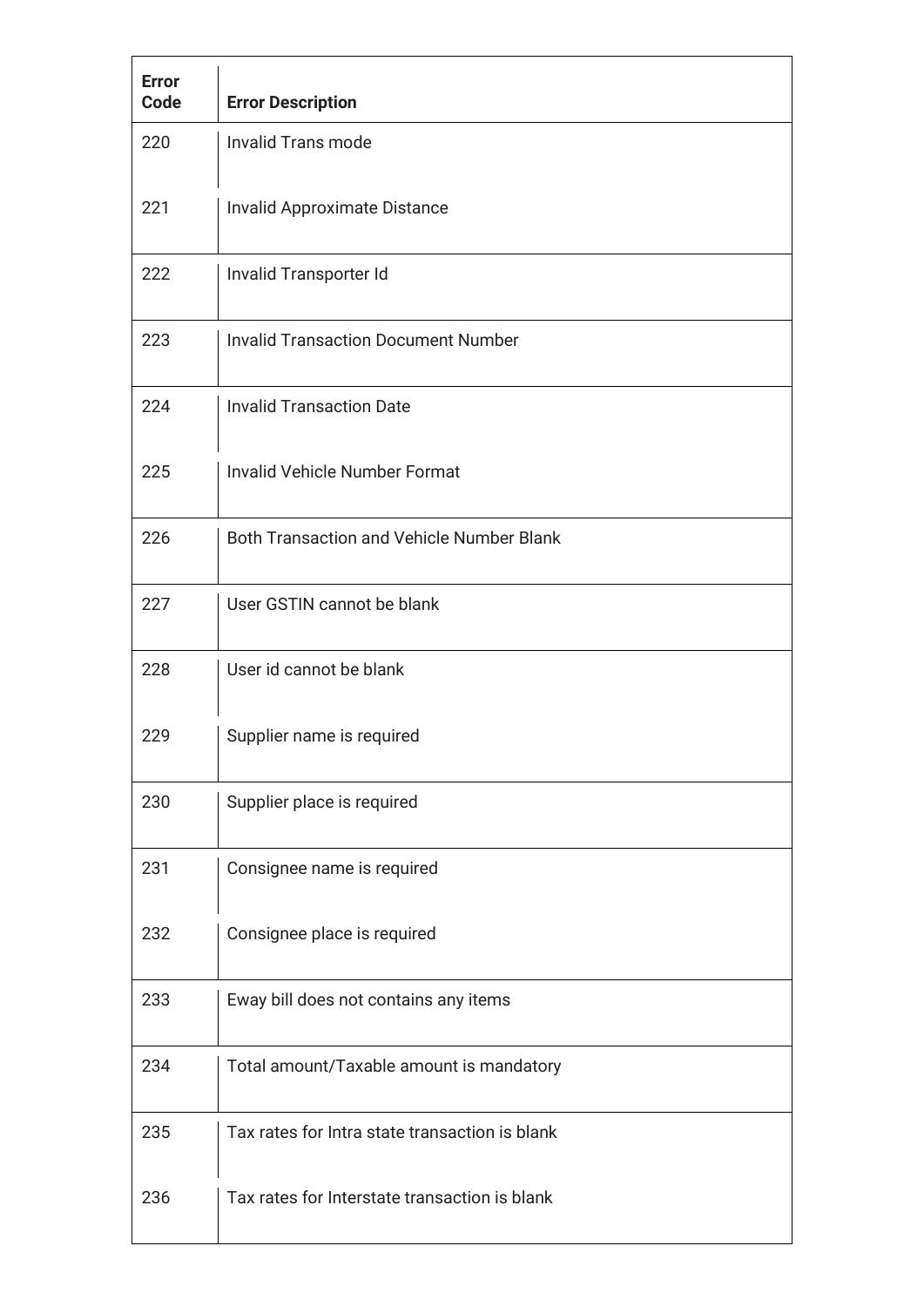| <b>Error</b><br>Code | <b>Error Description</b>                         |
|----------------------|--------------------------------------------------|
| 220                  | <b>Invalid Trans mode</b>                        |
| 221                  | Invalid Approximate Distance                     |
| 222                  | Invalid Transporter Id                           |
| 223                  | <b>Invalid Transaction Document Number</b>       |
| 224                  | <b>Invalid Transaction Date</b>                  |
| 225                  | <b>Invalid Vehicle Number Format</b>             |
| 226                  | <b>Both Transaction and Vehicle Number Blank</b> |
| 227                  | User GSTIN cannot be blank                       |
| 228                  | User id cannot be blank                          |
| 229                  | Supplier name is required                        |
| 230                  | Supplier place is required                       |
| 231                  | Consignee name is required                       |
| 232                  | Consignee place is required                      |
| 233                  | Eway bill does not contains any items            |
| 234                  | Total amount/Taxable amount is mandatory         |
| 235                  | Tax rates for Intra state transaction is blank   |
| 236                  | Tax rates for Interstate transaction is blank    |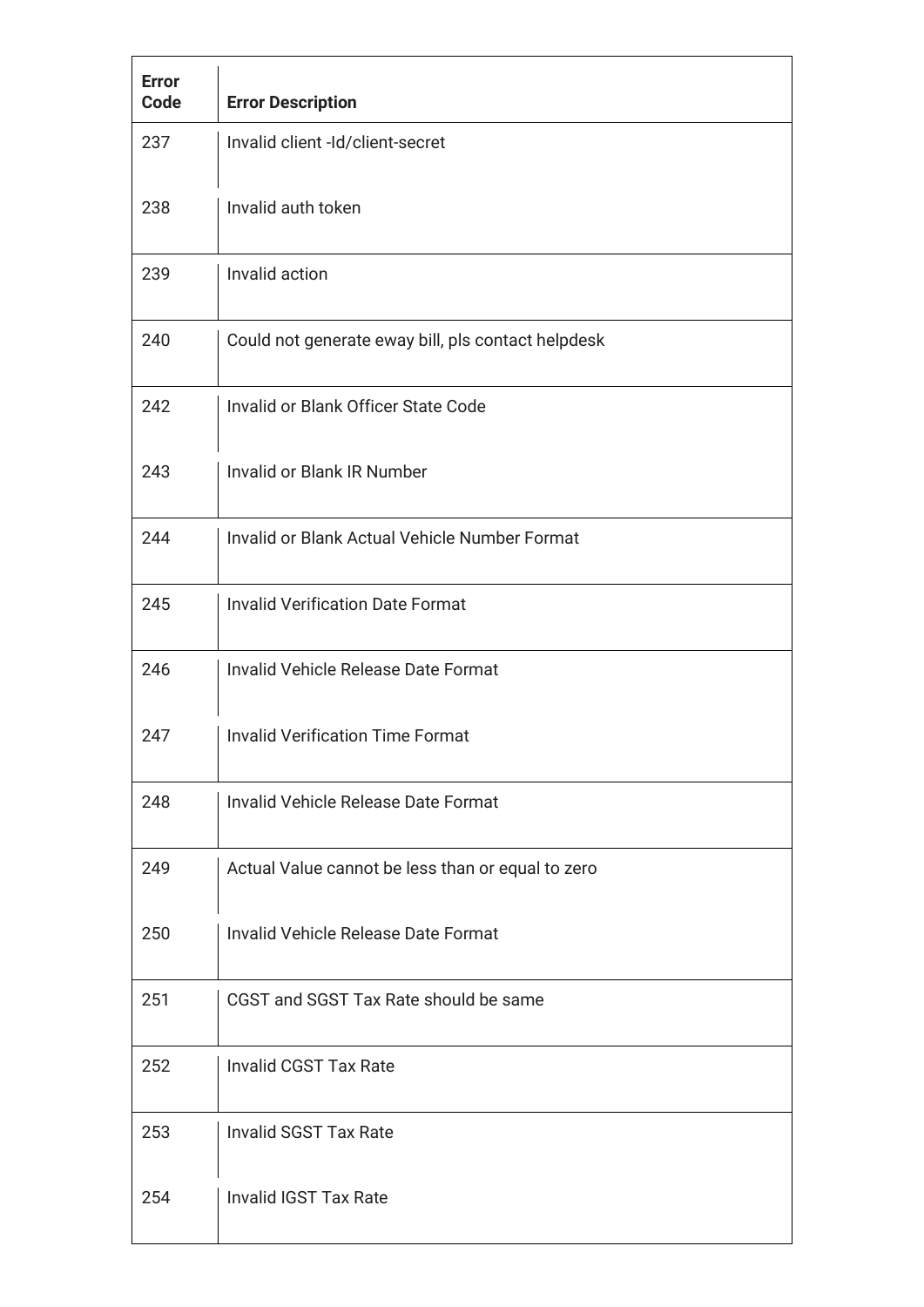| <b>Error</b><br><b>Code</b> | <b>Error Description</b>                             |
|-----------------------------|------------------------------------------------------|
| 237                         | Invalid client -Id/client-secret                     |
| 238                         | Invalid auth token                                   |
| 239                         | Invalid action                                       |
| 240                         | Could not generate eway bill, pls contact helpdesk   |
| 242                         | Invalid or Blank Officer State Code                  |
| 243                         | Invalid or Blank IR Number                           |
| 244                         | <b>Invalid or Blank Actual Vehicle Number Format</b> |
| 245                         | <b>Invalid Verification Date Format</b>              |
| 246                         | Invalid Vehicle Release Date Format                  |
| 247                         | <b>Invalid Verification Time Format</b>              |
| 248                         | Invalid Vehicle Release Date Format                  |
| 249                         | Actual Value cannot be less than or equal to zero    |
| 250                         | Invalid Vehicle Release Date Format                  |
| 251                         | CGST and SGST Tax Rate should be same                |
| 252                         | <b>Invalid CGST Tax Rate</b>                         |
| 253                         | <b>Invalid SGST Tax Rate</b>                         |
| 254                         | <b>Invalid IGST Tax Rate</b>                         |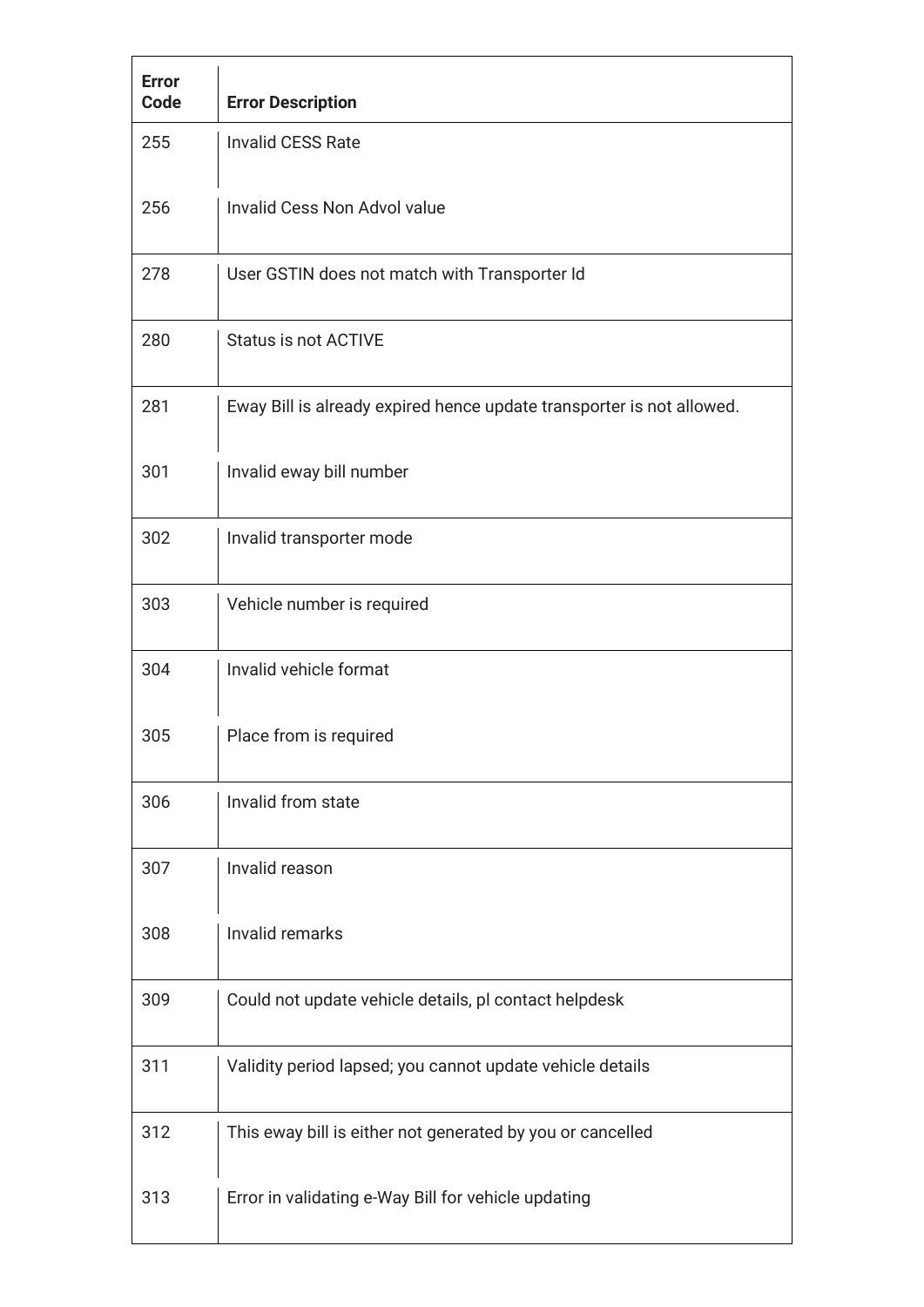| <b>Error</b><br>Code | <b>Error Description</b>                                              |
|----------------------|-----------------------------------------------------------------------|
| 255                  | <b>Invalid CESS Rate</b>                                              |
| 256                  | Invalid Cess Non Advol value                                          |
| 278                  | User GSTIN does not match with Transporter Id                         |
| 280                  | <b>Status is not ACTIVE</b>                                           |
| 281                  | Eway Bill is already expired hence update transporter is not allowed. |
| 301                  | Invalid eway bill number                                              |
| 302                  | Invalid transporter mode                                              |
| 303                  | Vehicle number is required                                            |
| 304                  | Invalid vehicle format                                                |
| 305                  | Place from is required                                                |
| 306                  | Invalid from state                                                    |
| 307                  | Invalid reason                                                        |
| 308                  | Invalid remarks                                                       |
| 309                  | Could not update vehicle details, pl contact helpdesk                 |
| 311                  | Validity period lapsed; you cannot update vehicle details             |
| 312                  | This eway bill is either not generated by you or cancelled            |
| 313                  | Error in validating e-Way Bill for vehicle updating                   |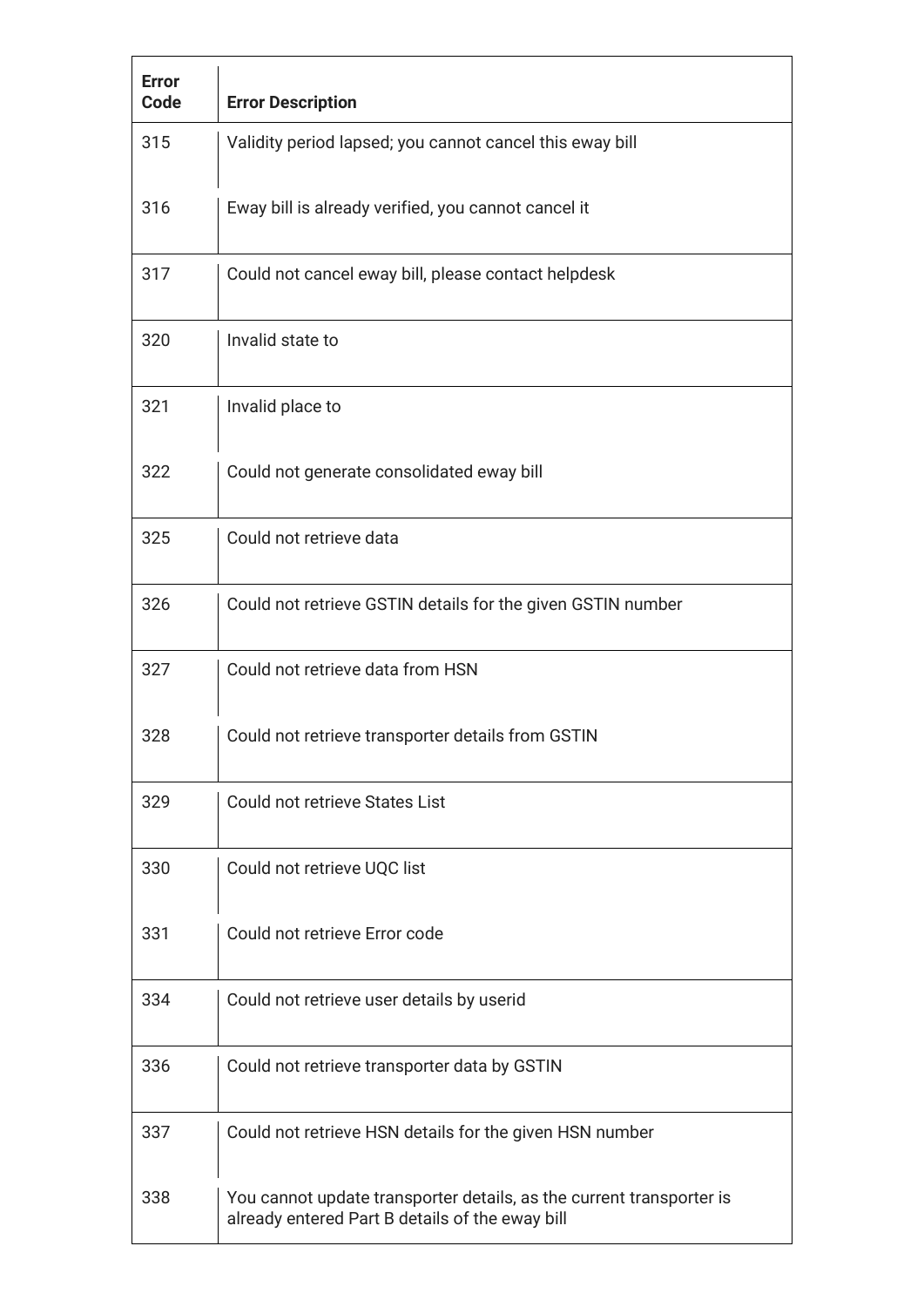| <b>Error</b><br>Code | <b>Error Description</b>                                                                                                |
|----------------------|-------------------------------------------------------------------------------------------------------------------------|
| 315                  | Validity period lapsed; you cannot cancel this eway bill                                                                |
| 316                  | Eway bill is already verified, you cannot cancel it                                                                     |
| 317                  | Could not cancel eway bill, please contact helpdesk                                                                     |
| 320                  | Invalid state to                                                                                                        |
| 321                  | Invalid place to                                                                                                        |
| 322                  | Could not generate consolidated eway bill                                                                               |
| 325                  | Could not retrieve data                                                                                                 |
| 326                  | Could not retrieve GSTIN details for the given GSTIN number                                                             |
| 327                  | Could not retrieve data from HSN                                                                                        |
| 328                  | Could not retrieve transporter details from GSTIN                                                                       |
| 329                  | Could not retrieve States List                                                                                          |
| 330                  | Could not retrieve UQC list                                                                                             |
| 331                  | Could not retrieve Error code                                                                                           |
| 334                  | Could not retrieve user details by userid                                                                               |
| 336                  | Could not retrieve transporter data by GSTIN                                                                            |
| 337                  | Could not retrieve HSN details for the given HSN number                                                                 |
| 338                  | You cannot update transporter details, as the current transporter is<br>already entered Part B details of the eway bill |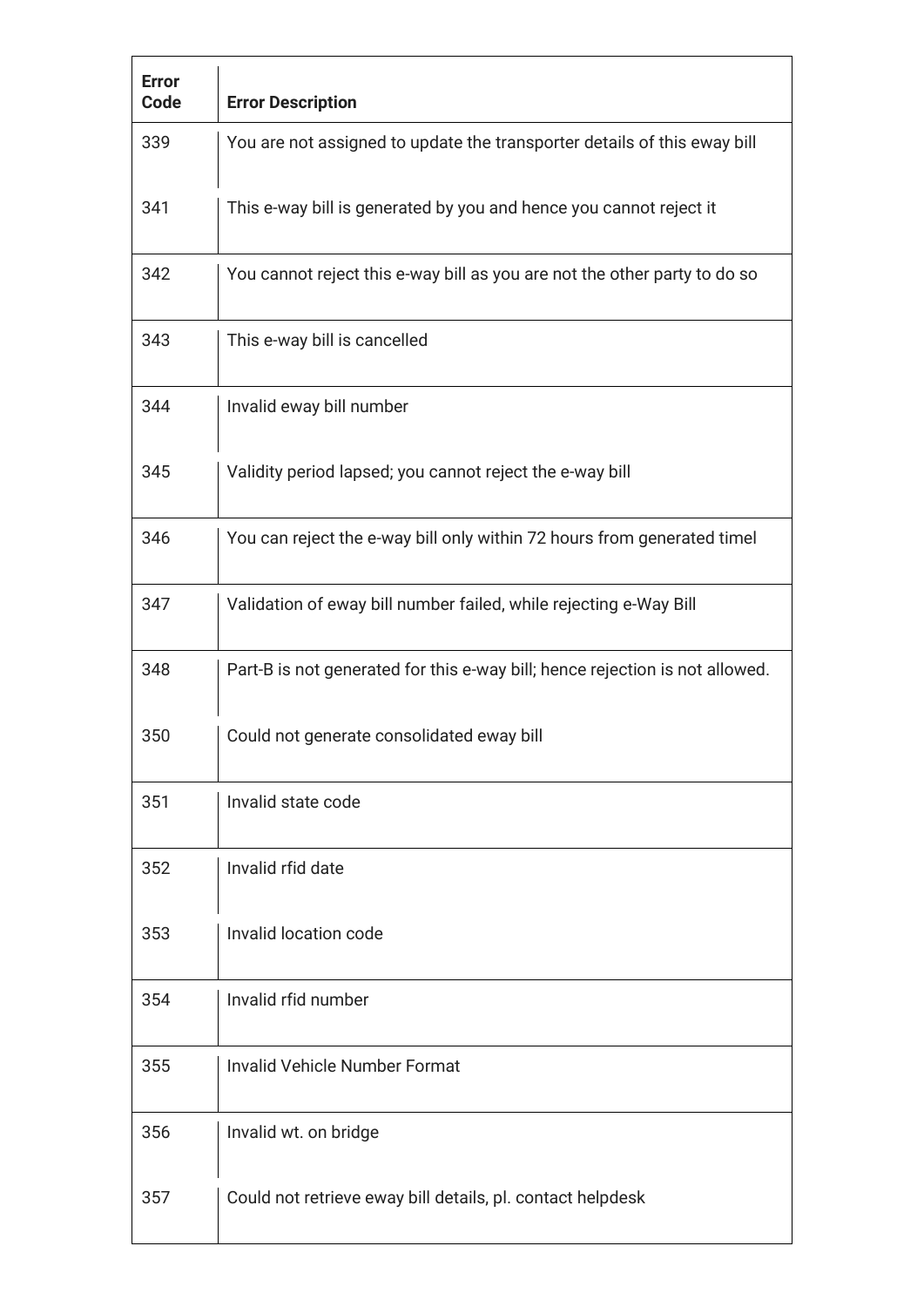| <b>Error</b><br>Code | <b>Error Description</b>                                                     |
|----------------------|------------------------------------------------------------------------------|
| 339                  | You are not assigned to update the transporter details of this eway bill     |
| 341                  | This e-way bill is generated by you and hence you cannot reject it           |
| 342                  | You cannot reject this e-way bill as you are not the other party to do so    |
| 343                  | This e-way bill is cancelled                                                 |
| 344                  | Invalid eway bill number                                                     |
| 345                  | Validity period lapsed; you cannot reject the e-way bill                     |
| 346                  | You can reject the e-way bill only within 72 hours from generated timel      |
| 347                  | Validation of eway bill number failed, while rejecting e-Way Bill            |
| 348                  | Part-B is not generated for this e-way bill; hence rejection is not allowed. |
| 350                  | Could not generate consolidated eway bill                                    |
| 351                  | Invalid state code                                                           |
| 352                  | Invalid rfid date                                                            |
| 353                  | Invalid location code                                                        |
| 354                  | Invalid rfid number                                                          |
| 355                  | <b>Invalid Vehicle Number Format</b>                                         |
| 356                  | Invalid wt. on bridge                                                        |
| 357                  | Could not retrieve eway bill details, pl. contact helpdesk                   |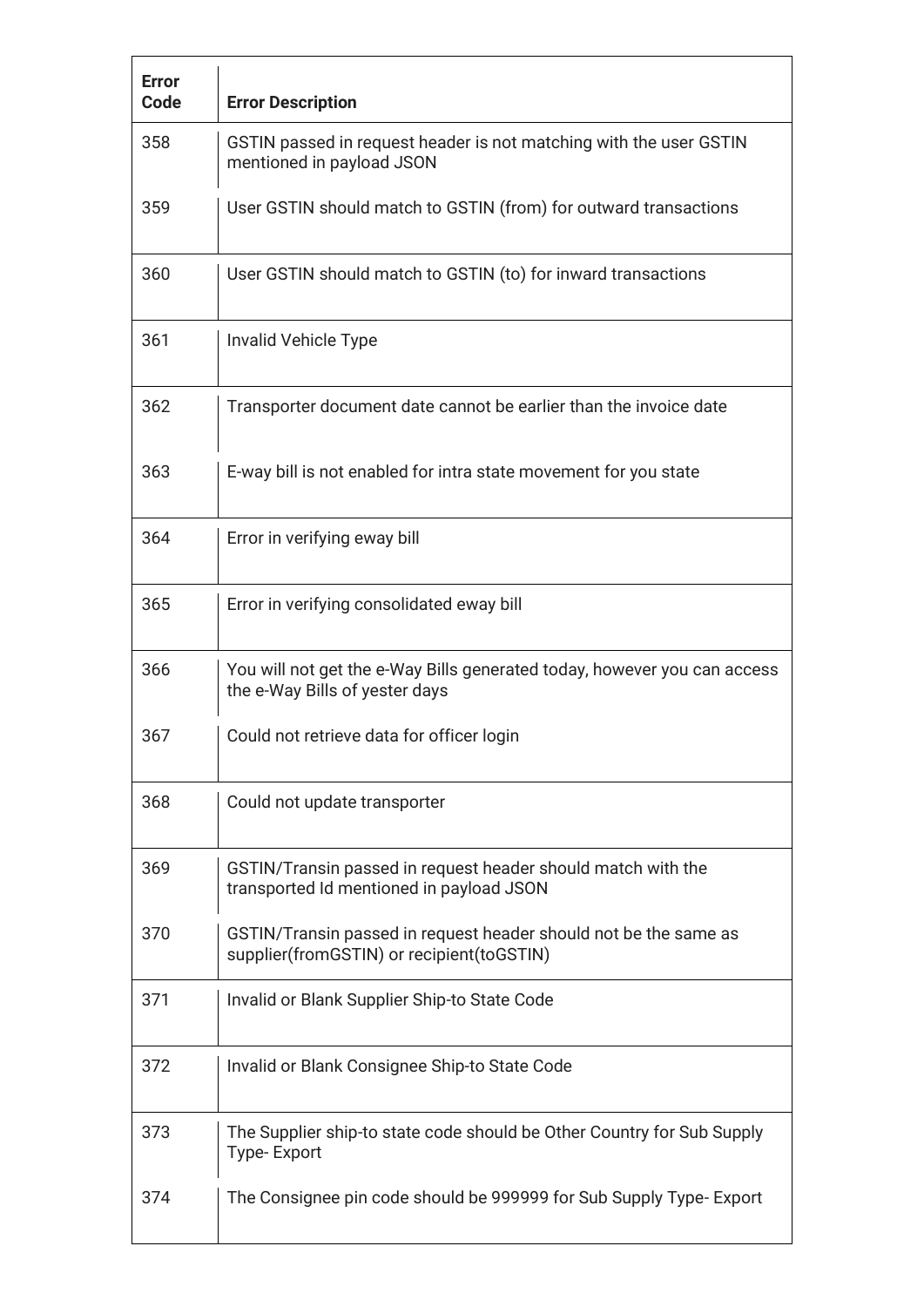| <b>Error</b><br>Code | <b>Error Description</b>                                                                                      |
|----------------------|---------------------------------------------------------------------------------------------------------------|
| 358                  | GSTIN passed in request header is not matching with the user GSTIN<br>mentioned in payload JSON               |
| 359                  | User GSTIN should match to GSTIN (from) for outward transactions                                              |
| 360                  | User GSTIN should match to GSTIN (to) for inward transactions                                                 |
| 361                  | Invalid Vehicle Type                                                                                          |
| 362                  | Transporter document date cannot be earlier than the invoice date                                             |
| 363                  | E-way bill is not enabled for intra state movement for you state                                              |
| 364                  | Error in verifying eway bill                                                                                  |
| 365                  | Error in verifying consolidated eway bill                                                                     |
| 366                  | You will not get the e-Way Bills generated today, however you can access<br>the e-Way Bills of yester days    |
| 367                  | Could not retrieve data for officer login                                                                     |
| 368                  | Could not update transporter                                                                                  |
| 369                  | GSTIN/Transin passed in request header should match with the<br>transported Id mentioned in payload JSON      |
| 370                  | GSTIN/Transin passed in request header should not be the same as<br>supplier(fromGSTIN) or recipient(toGSTIN) |
| 371                  | Invalid or Blank Supplier Ship-to State Code                                                                  |
| 372                  | Invalid or Blank Consignee Ship-to State Code                                                                 |
| 373                  | The Supplier ship-to state code should be Other Country for Sub Supply<br><b>Type-Export</b>                  |
| 374                  | The Consignee pin code should be 999999 for Sub Supply Type- Export                                           |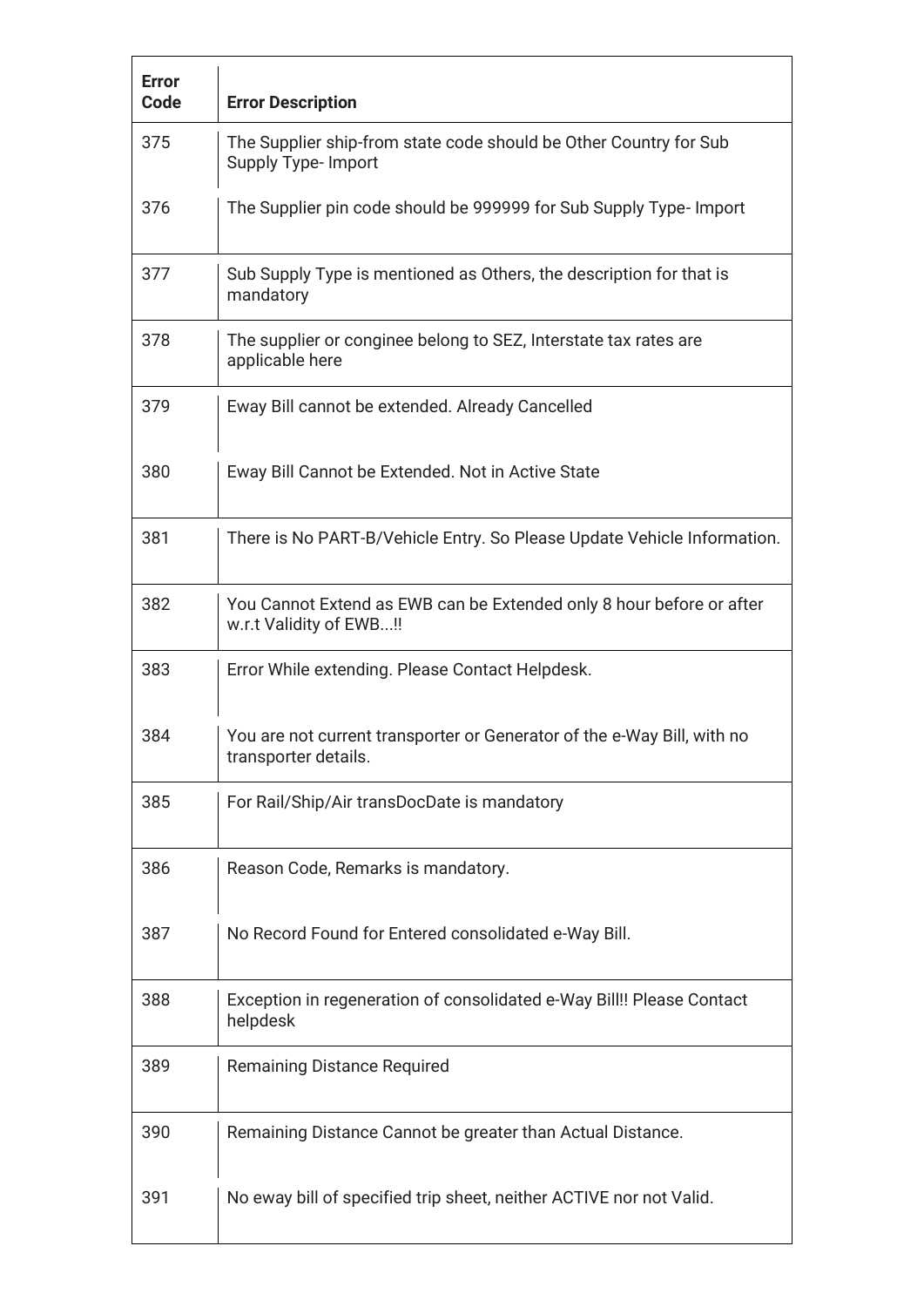| <b>Error</b><br>Code | <b>Error Description</b>                                                                        |
|----------------------|-------------------------------------------------------------------------------------------------|
| 375                  | The Supplier ship-from state code should be Other Country for Sub<br>Supply Type- Import        |
| 376                  | The Supplier pin code should be 999999 for Sub Supply Type- Import                              |
| 377                  | Sub Supply Type is mentioned as Others, the description for that is<br>mandatory                |
| 378                  | The supplier or conginee belong to SEZ, Interstate tax rates are<br>applicable here             |
| 379                  | Eway Bill cannot be extended. Already Cancelled                                                 |
| 380                  | Eway Bill Cannot be Extended. Not in Active State                                               |
| 381                  | There is No PART-B/Vehicle Entry. So Please Update Vehicle Information.                         |
| 382                  | You Cannot Extend as EWB can be Extended only 8 hour before or after<br>w.r.t Validity of EWB!! |
| 383                  | Error While extending. Please Contact Helpdesk.                                                 |
| 384                  | You are not current transporter or Generator of the e-Way Bill, with no<br>transporter details. |
| 385                  | For Rail/Ship/Air transDocDate is mandatory                                                     |
| 386                  | Reason Code, Remarks is mandatory.                                                              |
| 387                  | No Record Found for Entered consolidated e-Way Bill.                                            |
| 388                  | Exception in regeneration of consolidated e-Way Bill!! Please Contact<br>helpdesk               |
| 389                  | <b>Remaining Distance Required</b>                                                              |
| 390                  | Remaining Distance Cannot be greater than Actual Distance.                                      |
| 391                  | No eway bill of specified trip sheet, neither ACTIVE nor not Valid.                             |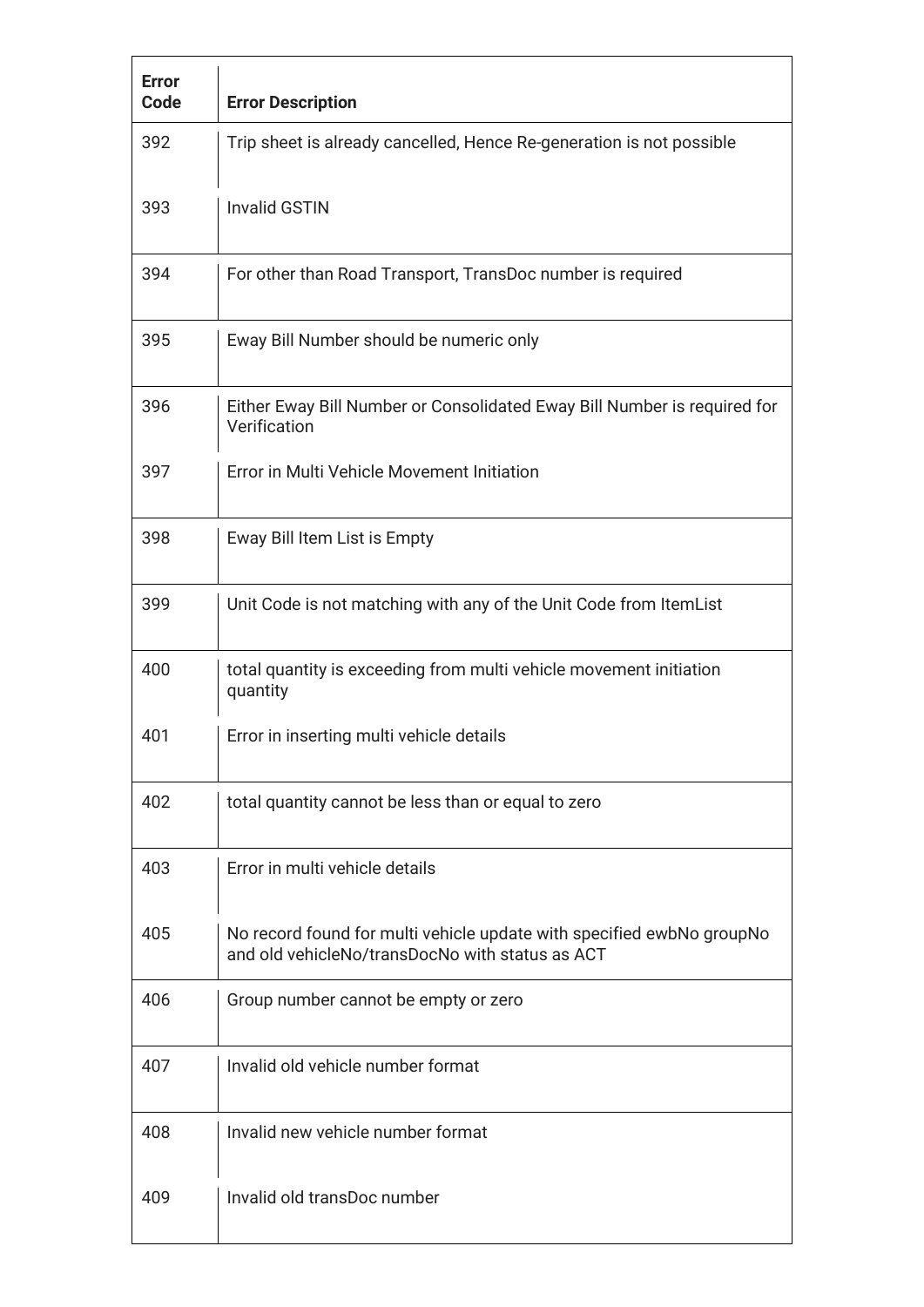| <b>Error</b><br>Code | <b>Error Description</b>                                                                                                 |
|----------------------|--------------------------------------------------------------------------------------------------------------------------|
| 392                  | Trip sheet is already cancelled, Hence Re-generation is not possible                                                     |
| 393                  | <b>Invalid GSTIN</b>                                                                                                     |
| 394                  | For other than Road Transport, TransDoc number is required                                                               |
| 395                  | Eway Bill Number should be numeric only                                                                                  |
| 396                  | Either Eway Bill Number or Consolidated Eway Bill Number is required for<br>Verification                                 |
| 397                  | Error in Multi Vehicle Movement Initiation                                                                               |
| 398                  | Eway Bill Item List is Empty                                                                                             |
| 399                  | Unit Code is not matching with any of the Unit Code from ItemList                                                        |
| 400                  | total quantity is exceeding from multi vehicle movement initiation<br>quantity                                           |
| 401                  | Error in inserting multi vehicle details                                                                                 |
| 402                  | total quantity cannot be less than or equal to zero                                                                      |
| 403                  | Error in multi vehicle details                                                                                           |
| 405                  | No record found for multi vehicle update with specified ewbNo groupNo<br>and old vehicleNo/transDocNo with status as ACT |
| 406                  | Group number cannot be empty or zero                                                                                     |
| 407                  | Invalid old vehicle number format                                                                                        |
| 408                  | Invalid new vehicle number format                                                                                        |
| 409                  | Invalid old transDoc number                                                                                              |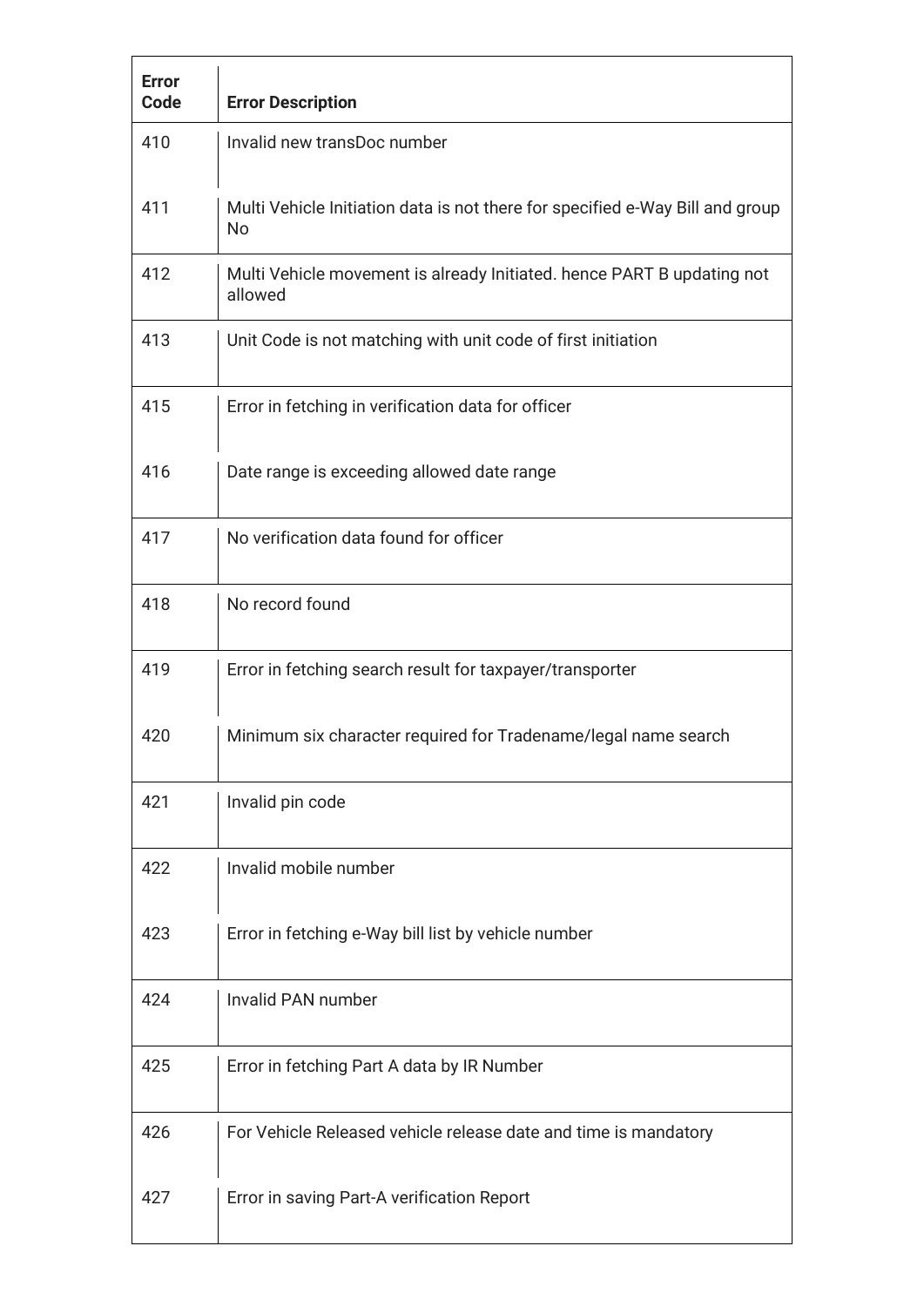| <b>Error</b><br>Code | <b>Error Description</b>                                                            |
|----------------------|-------------------------------------------------------------------------------------|
| 410                  | Invalid new transDoc number                                                         |
| 411                  | Multi Vehicle Initiation data is not there for specified e-Way Bill and group<br>No |
| 412                  | Multi Vehicle movement is already Initiated. hence PART B updating not<br>allowed   |
| 413                  | Unit Code is not matching with unit code of first initiation                        |
| 415                  | Error in fetching in verification data for officer                                  |
| 416                  | Date range is exceeding allowed date range                                          |
| 417                  | No verification data found for officer                                              |
| 418                  | No record found                                                                     |
| 419                  | Error in fetching search result for taxpayer/transporter                            |
| 420                  | Minimum six character required for Tradename/legal name search                      |
| 421                  | Invalid pin code                                                                    |
| 422                  | Invalid mobile number                                                               |
| 423                  | Error in fetching e-Way bill list by vehicle number                                 |
| 424                  | Invalid PAN number                                                                  |
| 425                  | Error in fetching Part A data by IR Number                                          |
| 426                  | For Vehicle Released vehicle release date and time is mandatory                     |
| 427                  | Error in saving Part-A verification Report                                          |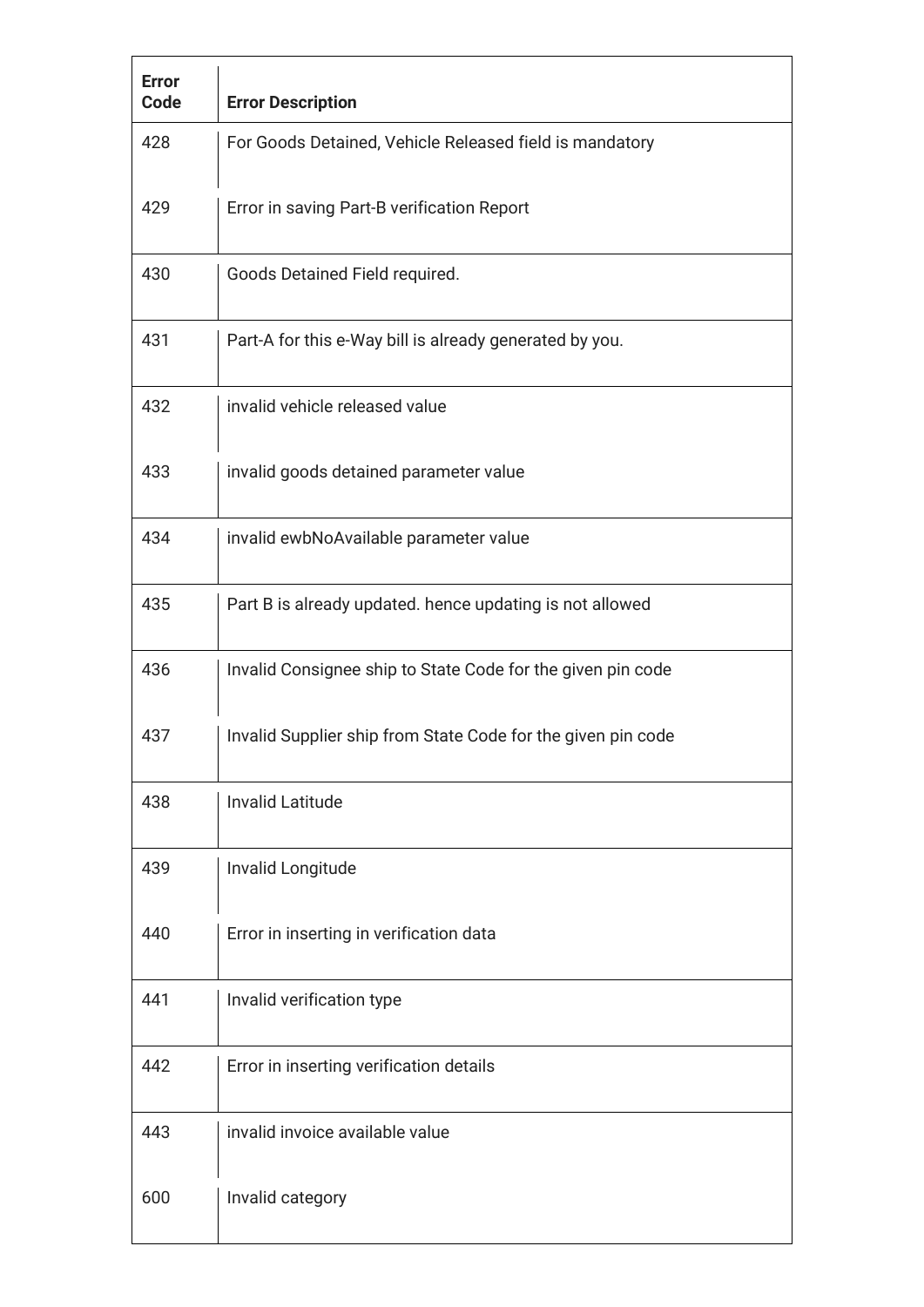| <b>Error</b><br>Code | <b>Error Description</b>                                     |
|----------------------|--------------------------------------------------------------|
| 428                  | For Goods Detained, Vehicle Released field is mandatory      |
| 429                  | Error in saving Part-B verification Report                   |
| 430                  | Goods Detained Field required.                               |
| 431                  | Part-A for this e-Way bill is already generated by you.      |
| 432                  | invalid vehicle released value                               |
| 433                  | invalid goods detained parameter value                       |
| 434                  | invalid ewbNoAvailable parameter value                       |
| 435                  | Part B is already updated. hence updating is not allowed     |
| 436                  | Invalid Consignee ship to State Code for the given pin code  |
| 437                  | Invalid Supplier ship from State Code for the given pin code |
| 438                  | <b>Invalid Latitude</b>                                      |
| 439                  | Invalid Longitude                                            |
| 440                  | Error in inserting in verification data                      |
| 441                  | Invalid verification type                                    |
| 442                  | Error in inserting verification details                      |
| 443                  | invalid invoice available value                              |
| 600                  | Invalid category                                             |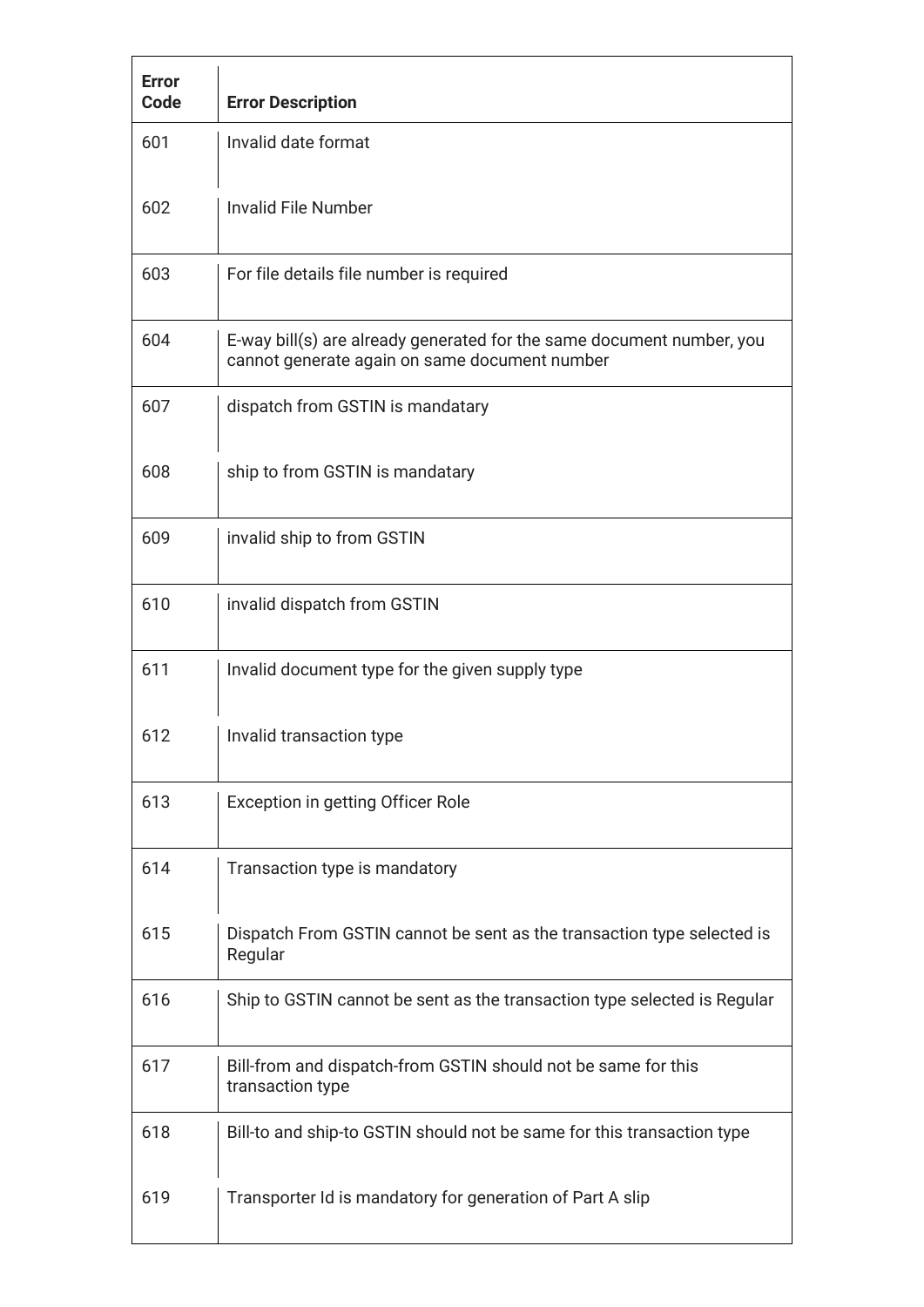| <b>Error</b><br>Code | <b>Error Description</b>                                                                                               |
|----------------------|------------------------------------------------------------------------------------------------------------------------|
| 601                  | Invalid date format                                                                                                    |
| 602                  | <b>Invalid File Number</b>                                                                                             |
| 603                  | For file details file number is required                                                                               |
| 604                  | E-way bill(s) are already generated for the same document number, you<br>cannot generate again on same document number |
| 607                  | dispatch from GSTIN is mandatary                                                                                       |
| 608                  | ship to from GSTIN is mandatary                                                                                        |
| 609                  | invalid ship to from GSTIN                                                                                             |
| 610                  | invalid dispatch from GSTIN                                                                                            |
| 611                  | Invalid document type for the given supply type                                                                        |
| 612                  | Invalid transaction type                                                                                               |
| 613                  | Exception in getting Officer Role                                                                                      |
| 614                  | Transaction type is mandatory                                                                                          |
| 615                  | Dispatch From GSTIN cannot be sent as the transaction type selected is<br>Regular                                      |
| 616                  | Ship to GSTIN cannot be sent as the transaction type selected is Regular                                               |
| 617                  | Bill-from and dispatch-from GSTIN should not be same for this<br>transaction type                                      |
| 618                  | Bill-to and ship-to GSTIN should not be same for this transaction type                                                 |
| 619                  | Transporter Id is mandatory for generation of Part A slip                                                              |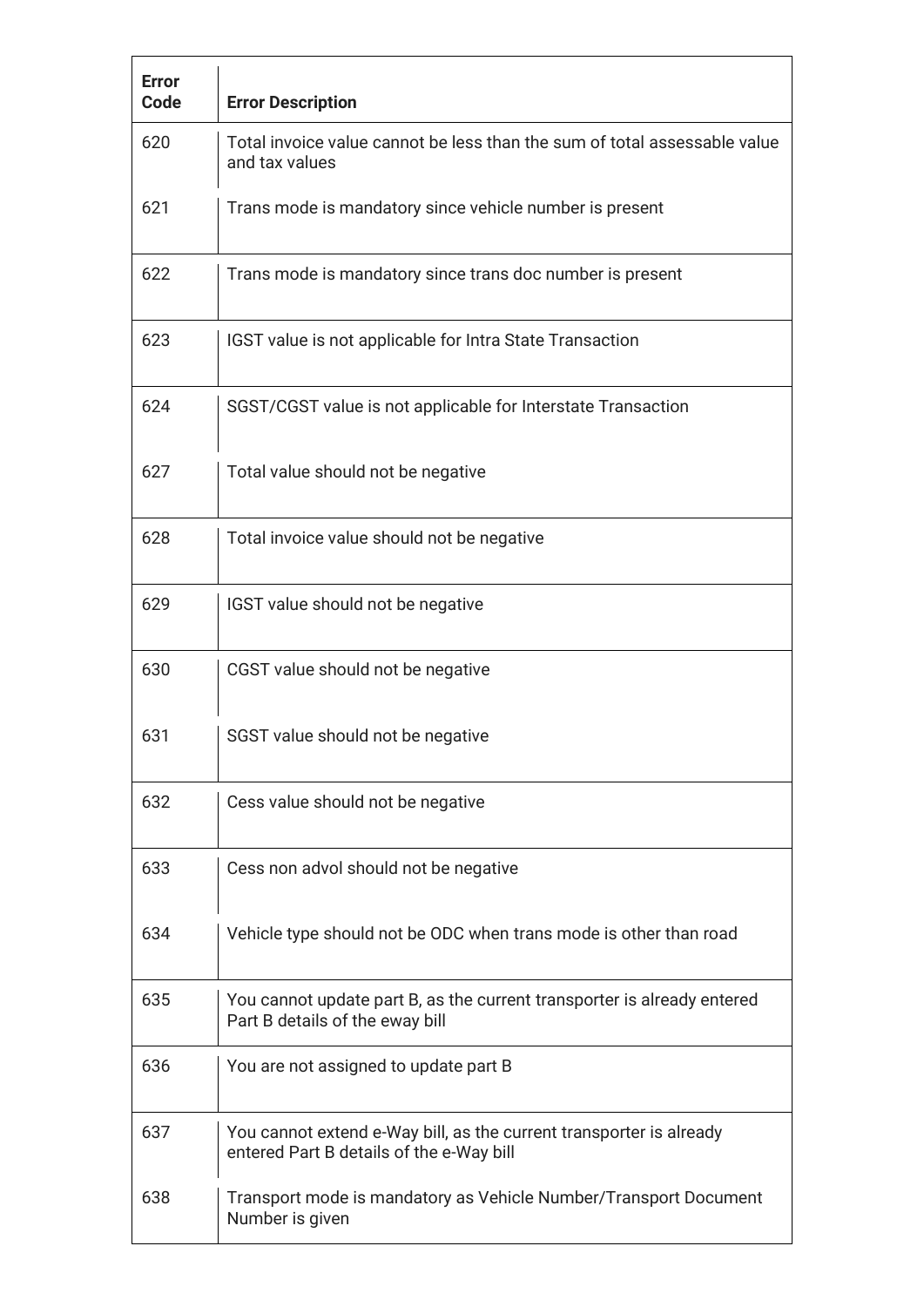| <b>Error</b><br>Code | <b>Error Description</b>                                                                                        |
|----------------------|-----------------------------------------------------------------------------------------------------------------|
| 620                  | Total invoice value cannot be less than the sum of total assessable value<br>and tax values                     |
| 621                  | Trans mode is mandatory since vehicle number is present                                                         |
| 622                  | Trans mode is mandatory since trans doc number is present                                                       |
| 623                  | IGST value is not applicable for Intra State Transaction                                                        |
| 624                  | SGST/CGST value is not applicable for Interstate Transaction                                                    |
| 627                  | Total value should not be negative                                                                              |
| 628                  | Total invoice value should not be negative                                                                      |
| 629                  | IGST value should not be negative                                                                               |
| 630                  | CGST value should not be negative                                                                               |
| 631                  | SGST value should not be negative                                                                               |
| 632                  | Cess value should not be negative                                                                               |
| 633                  | Cess non advol should not be negative                                                                           |
| 634                  | Vehicle type should not be ODC when trans mode is other than road                                               |
| 635                  | You cannot update part B, as the current transporter is already entered<br>Part B details of the eway bill      |
| 636                  | You are not assigned to update part B                                                                           |
| 637                  | You cannot extend e-Way bill, as the current transporter is already<br>entered Part B details of the e-Way bill |
| 638                  | Transport mode is mandatory as Vehicle Number/Transport Document<br>Number is given                             |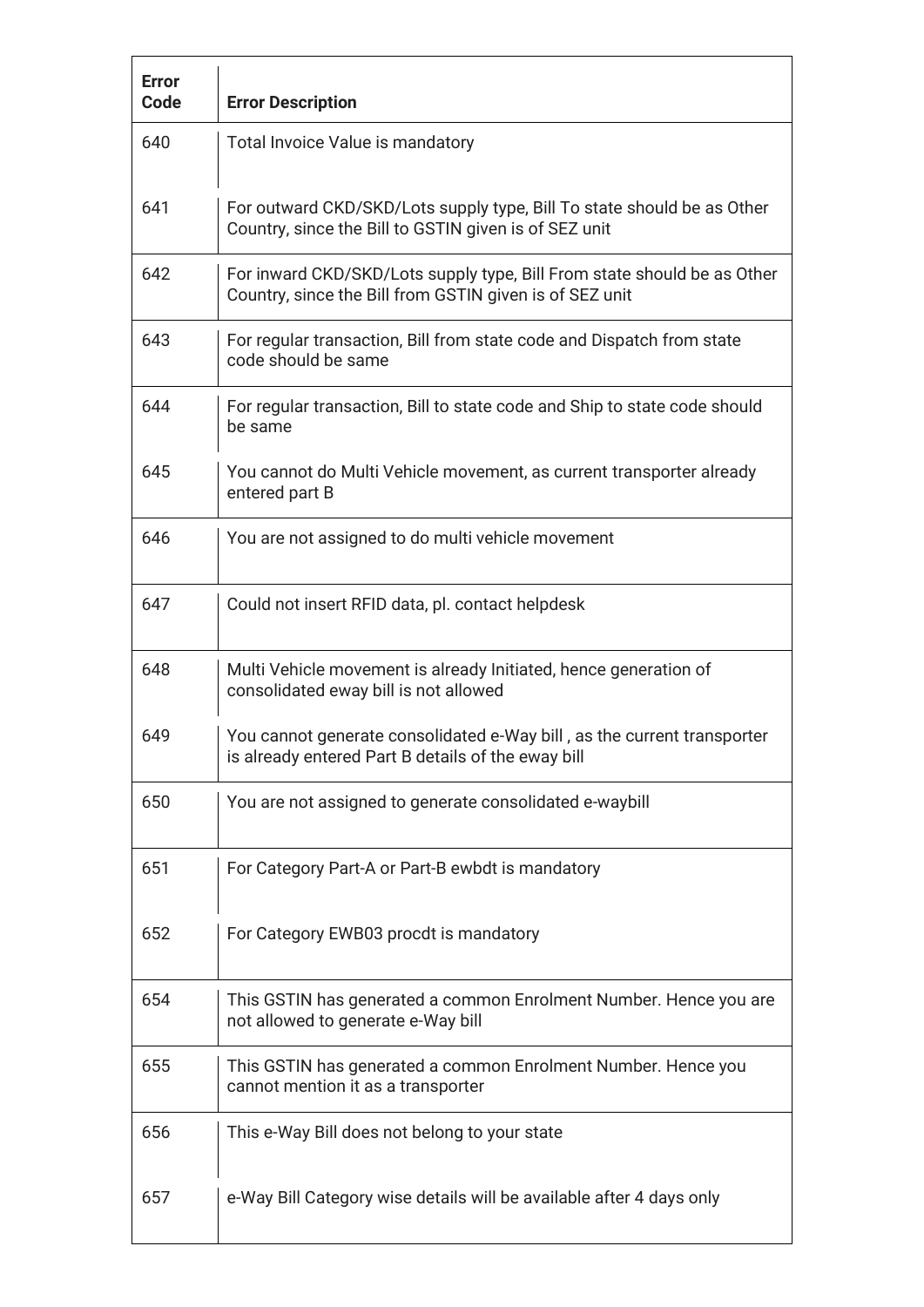| <b>Error</b><br>Code | <b>Error Description</b>                                                                                                           |
|----------------------|------------------------------------------------------------------------------------------------------------------------------------|
| 640                  | Total Invoice Value is mandatory                                                                                                   |
| 641                  | For outward CKD/SKD/Lots supply type, Bill To state should be as Other<br>Country, since the Bill to GSTIN given is of SEZ unit    |
| 642                  | For inward CKD/SKD/Lots supply type, Bill From state should be as Other<br>Country, since the Bill from GSTIN given is of SEZ unit |
| 643                  | For regular transaction, Bill from state code and Dispatch from state<br>code should be same                                       |
| 644                  | For regular transaction, Bill to state code and Ship to state code should<br>be same                                               |
| 645                  | You cannot do Multi Vehicle movement, as current transporter already<br>entered part B                                             |
| 646                  | You are not assigned to do multi vehicle movement                                                                                  |
| 647                  | Could not insert RFID data, pl. contact helpdesk                                                                                   |
| 648                  | Multi Vehicle movement is already Initiated, hence generation of<br>consolidated eway bill is not allowed                          |
| 649                  | You cannot generate consolidated e-Way bill, as the current transporter<br>is already entered Part B details of the eway bill      |
| 650                  | You are not assigned to generate consolidated e-waybill                                                                            |
| 651                  | For Category Part-A or Part-B ewbdt is mandatory                                                                                   |
| 652                  | For Category EWB03 procdt is mandatory                                                                                             |
| 654                  | This GSTIN has generated a common Enrolment Number. Hence you are<br>not allowed to generate e-Way bill                            |
| 655                  | This GSTIN has generated a common Enrolment Number. Hence you<br>cannot mention it as a transporter                                |
| 656                  | This e-Way Bill does not belong to your state                                                                                      |
| 657                  | e-Way Bill Category wise details will be available after 4 days only                                                               |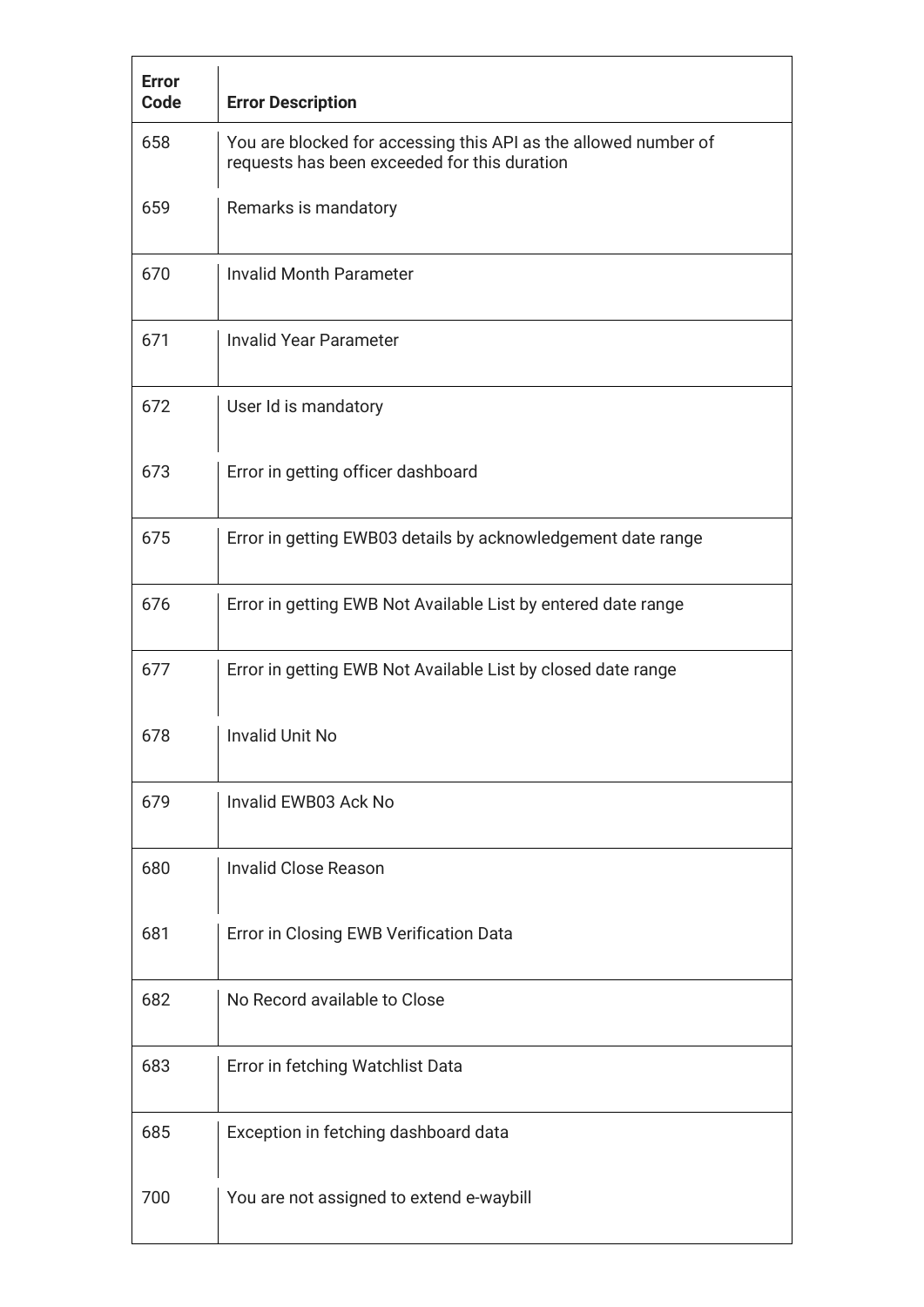| <b>Error</b><br>Code | <b>Error Description</b>                                                                                        |
|----------------------|-----------------------------------------------------------------------------------------------------------------|
| 658                  | You are blocked for accessing this API as the allowed number of<br>requests has been exceeded for this duration |
| 659                  | Remarks is mandatory                                                                                            |
| 670                  | <b>Invalid Month Parameter</b>                                                                                  |
| 671                  | <b>Invalid Year Parameter</b>                                                                                   |
| 672                  | User Id is mandatory                                                                                            |
| 673                  | Error in getting officer dashboard                                                                              |
| 675                  | Error in getting EWB03 details by acknowledgement date range                                                    |
| 676                  | Error in getting EWB Not Available List by entered date range                                                   |
| 677                  | Error in getting EWB Not Available List by closed date range                                                    |
| 678                  | <b>Invalid Unit No</b>                                                                                          |
| 679                  | Invalid EWB03 Ack No                                                                                            |
| 680                  | <b>Invalid Close Reason</b>                                                                                     |
| 681                  | Error in Closing EWB Verification Data                                                                          |
| 682                  | No Record available to Close                                                                                    |
| 683                  | Error in fetching Watchlist Data                                                                                |
| 685                  | Exception in fetching dashboard data                                                                            |
| 700                  | You are not assigned to extend e-waybill                                                                        |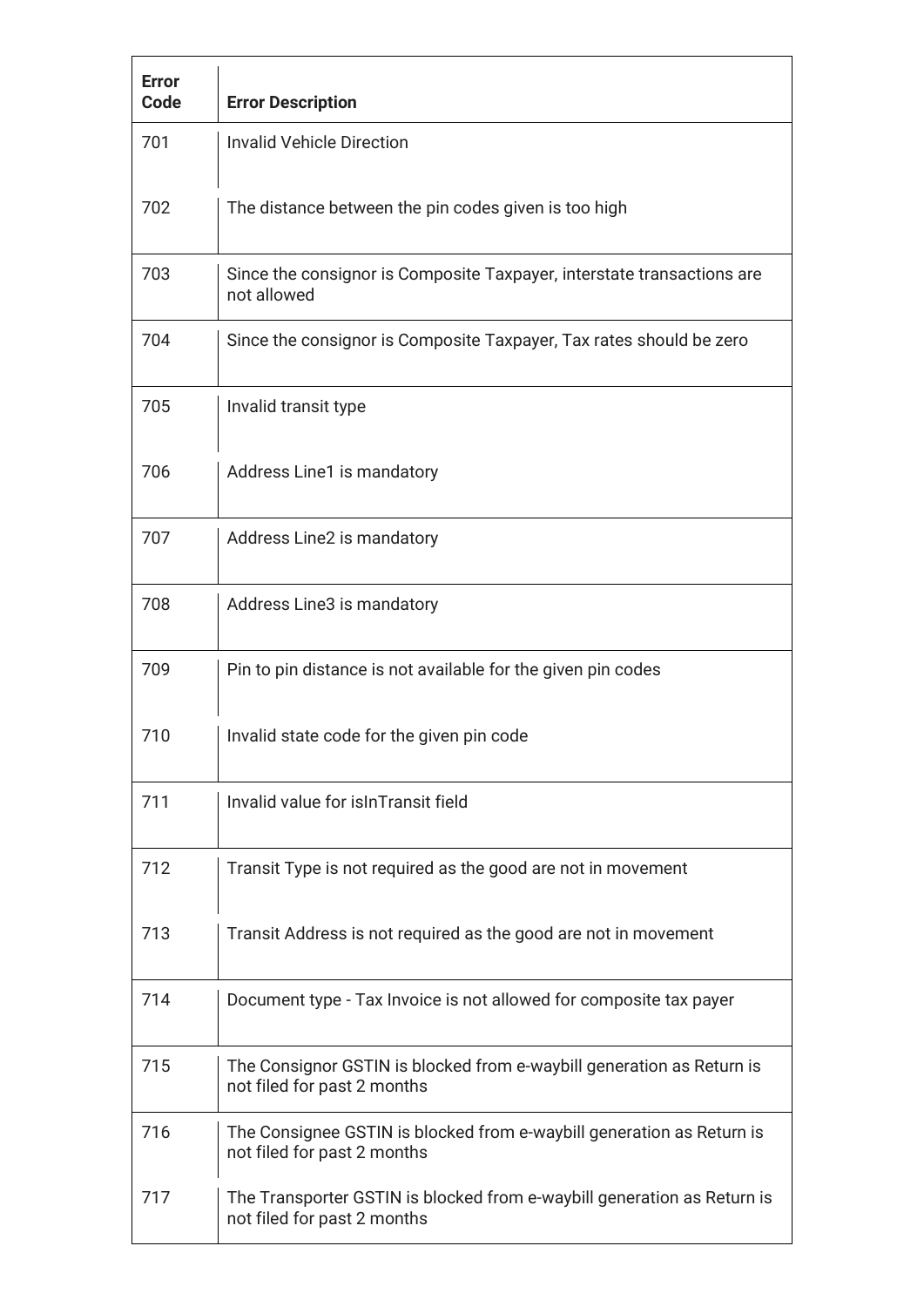| <b>Error</b><br>Code | <b>Error Description</b>                                                                               |
|----------------------|--------------------------------------------------------------------------------------------------------|
| 701                  | <b>Invalid Vehicle Direction</b>                                                                       |
| 702                  | The distance between the pin codes given is too high                                                   |
| 703                  | Since the consignor is Composite Taxpayer, interstate transactions are<br>not allowed                  |
| 704                  | Since the consignor is Composite Taxpayer, Tax rates should be zero                                    |
| 705                  | Invalid transit type                                                                                   |
| 706                  | Address Line1 is mandatory                                                                             |
| 707                  | Address Line2 is mandatory                                                                             |
| 708                  | Address Line3 is mandatory                                                                             |
| 709                  | Pin to pin distance is not available for the given pin codes                                           |
| 710                  | Invalid state code for the given pin code                                                              |
| 711                  | Invalid value for is In Transit field                                                                  |
| 712                  | Transit Type is not required as the good are not in movement                                           |
| 713                  | Transit Address is not required as the good are not in movement                                        |
| 714                  | Document type - Tax Invoice is not allowed for composite tax payer                                     |
| 715                  | The Consignor GSTIN is blocked from e-waybill generation as Return is<br>not filed for past 2 months   |
| 716                  | The Consignee GSTIN is blocked from e-waybill generation as Return is<br>not filed for past 2 months   |
| 717                  | The Transporter GSTIN is blocked from e-waybill generation as Return is<br>not filed for past 2 months |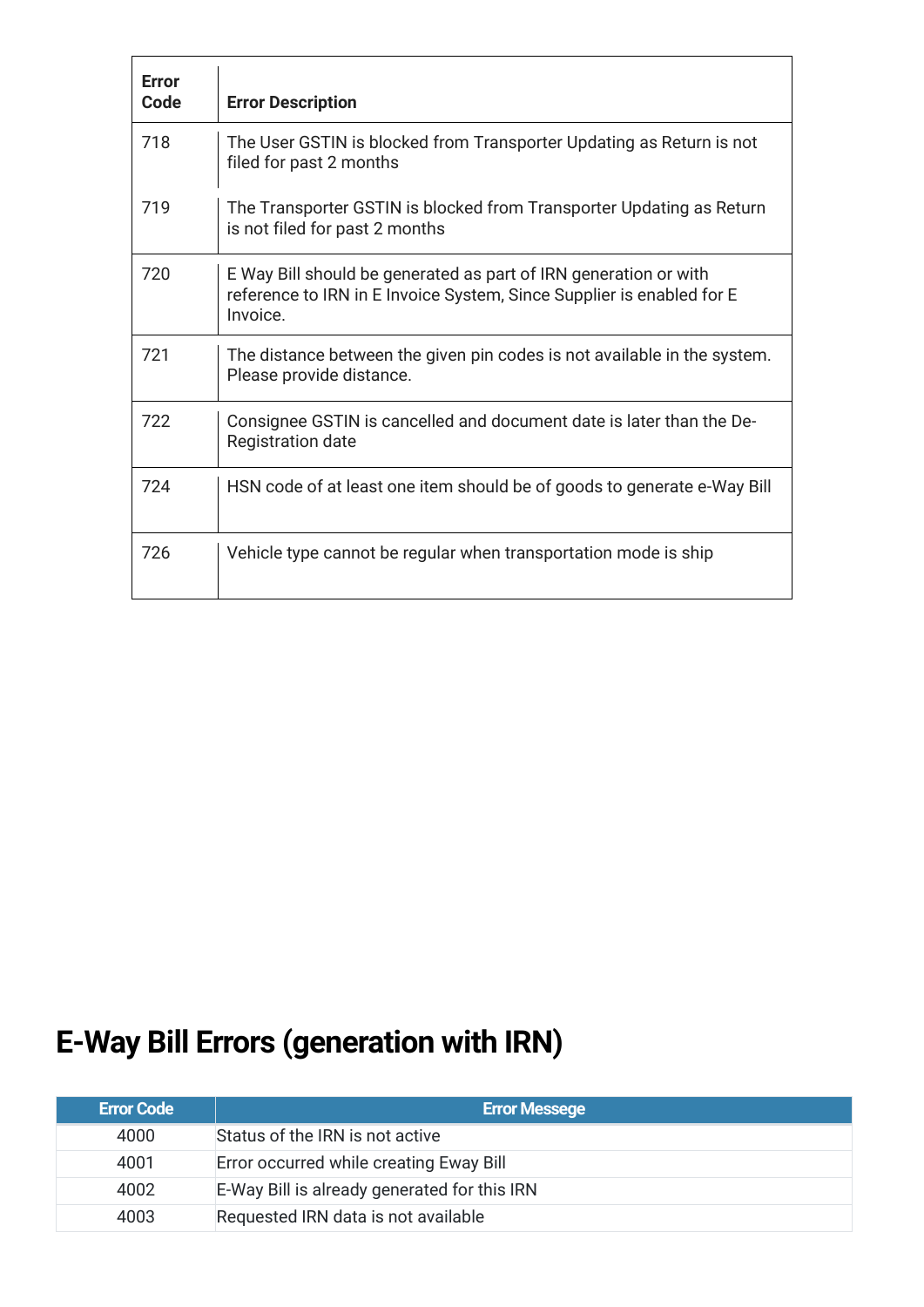| <b>Error</b><br>Code | <b>Error Description</b>                                                                                                                              |
|----------------------|-------------------------------------------------------------------------------------------------------------------------------------------------------|
| 718                  | The User GSTIN is blocked from Transporter Updating as Return is not<br>filed for past 2 months                                                       |
| 719                  | The Transporter GSTIN is blocked from Transporter Updating as Return<br>is not filed for past 2 months                                                |
| 720                  | E Way Bill should be generated as part of IRN generation or with<br>reference to IRN in E Invoice System, Since Supplier is enabled for E<br>Invoice. |
| 721                  | The distance between the given pin codes is not available in the system.<br>Please provide distance.                                                  |
| 722                  | Consignee GSTIN is cancelled and document date is later than the De-<br><b>Registration date</b>                                                      |
| 724                  | HSN code of at least one item should be of goods to generate e-Way Bill                                                                               |
| 726                  | Vehicle type cannot be regular when transportation mode is ship                                                                                       |

## **E-Way Bill Errors (generation with IRN)**

| <b>Error Code</b> | <b>Error Messege</b>                         |
|-------------------|----------------------------------------------|
| 4000              | Status of the IRN is not active              |
| 4001              | Error occurred while creating Eway Bill      |
| 4002              | E-Way Bill is already generated for this IRN |
| 4003              | Requested IRN data is not available          |